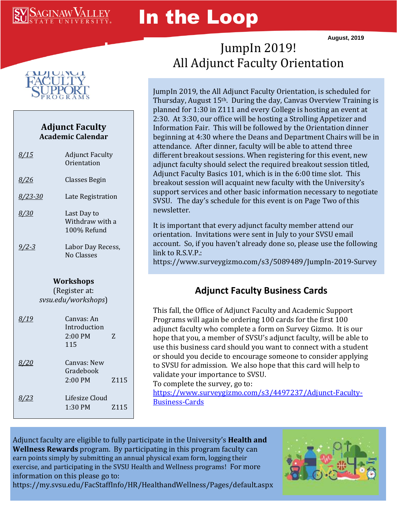# SAGINAW ${\rm V}$

# In the Loop

**August, 2019**



### **Adjunct Faculty Academic Calendar**

| <u>8/15</u>                                       | <b>Adjunct Faculty</b><br>Orientation         |      |  |  |
|---------------------------------------------------|-----------------------------------------------|------|--|--|
| <u>8/26</u>                                       | Classes Begin                                 |      |  |  |
| 8/23-30                                           | Late Registration                             |      |  |  |
| 8/30                                              | Last Day to<br>Withdraw with a<br>100% Refund |      |  |  |
| <u>9/2-3</u>                                      | Labor Day Recess,<br>No Classes               |      |  |  |
| Workshops<br>(Register at:<br>svsu.edu/workshops) |                                               |      |  |  |
| 8/19                                              | Canvas: An<br>Introduction<br>2:00 PM<br>115  | 7.   |  |  |
| <i>8/20</i>                                       | Canvas: New<br>Gradebook<br>2:00 PM           | Z115 |  |  |
| <u>8/23</u>                                       | Lifesize Cloud<br>1:30 PM                     | Z115 |  |  |

## JumpIn 2019! All Adjunct Faculty Orientation

JumpIn 2019, the All Adjunct Faculty Orientation, is scheduled for Thursday, August 15th. During the day, Canvas Overview Training is planned for 1:30 in Z111 and every College is hosting an event at 2:30. At 3:30, our office will be hosting a Strolling Appetizer and Information Fair. This will be followed by the Orientation dinner beginning at 4:30 where the Deans and Department Chairs will be in attendance. After dinner, faculty will be able to attend three different breakout sessions. When registering for this event, new adjunct faculty should select the required breakout session titled, Adjunct Faculty Basics 101, which is in the 6:00 time slot. This breakout session will acquaint new faculty with the University's support services and other basic information necessary to negotiate SVSU. The day's schedule for this event is on Page Two of this newsletter.

It is important that every adjunct faculty member attend our orientation. Invitations were sent in July to your SVSU email account. So, if you haven't already done so, please use the following link to R.S.V.P.:

https://www.surveygizmo.com/s3/5089489/JumpIn-2019-Survey

### **Adjunct Faculty Business Cards**

This fall, the Office of Adjunct Faculty and Academic Support Programs will again be ordering 100 cards for the first 100 adjunct faculty who complete a form on Survey Gizmo. It is our hope that you, a member of SVSU's adjunct faculty, will be able to use this business card should you want to connect with a student or should you decide to encourage someone to consider applying to SVSU for admission. We also hope that this card will help to validate your importance to SVSU.

To complete the survey, go to:

[https://www.surveygizmo.com/s3/4497237/Adjunct-Faculty-](https://www.surveygizmo.com/s3/4497237/Adjunct-Faculty-Business-Cards)[Business-Cards](https://www.surveygizmo.com/s3/4497237/Adjunct-Faculty-Business-Cards)

Adjunct faculty are eligible to fully participate in the University's **Health and Wellness Rewards** program. By participating in this program faculty can earn points simply by submitting an annual physical exam form, logging their exercise, and participating in the SVSU Health and Wellness programs! For more information on this please go to:

https://my.svsu.edu/FacStaffInfo/HR/HealthandWellness/Pages/default.aspx